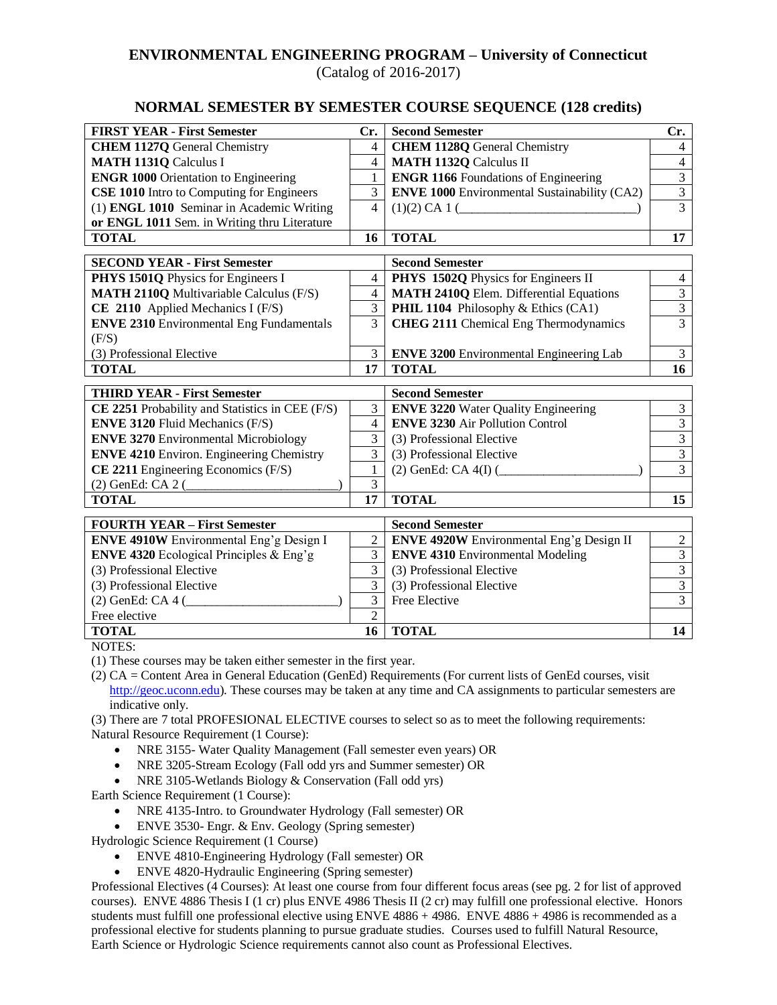## **ENVIRONMENTAL ENGINEERING PROGRAM – University of Connecticut**

(Catalog of 2016-2017)

## **NORMAL SEMESTER BY SEMESTER COURSE SEQUENCE (128 credits)**

| <b>FIRST YEAR - First Semester</b>                | Cr.            | <b>Second Semester</b>                              | Cr.            |
|---------------------------------------------------|----------------|-----------------------------------------------------|----------------|
| <b>CHEM 1127Q</b> General Chemistry               | $\overline{4}$ | <b>CHEM 1128Q General Chemistry</b>                 | $\overline{4}$ |
| <b>MATH 1131Q Calculus I</b>                      | $\overline{4}$ | <b>MATH 1132Q Calculus II</b>                       | $\overline{4}$ |
| <b>ENGR 1000 Orientation to Engineering</b>       | 1              | <b>ENGR 1166</b> Foundations of Engineering         | $\overline{3}$ |
| <b>CSE 1010</b> Intro to Computing for Engineers  | 3              | <b>ENVE 1000</b> Environmental Sustainability (CA2) | $\overline{3}$ |
| (1) ENGL 1010 Seminar in Academic Writing         | $\overline{4}$ | (1)(2) CA 1 (                                       | 3              |
| or ENGL 1011 Sem. in Writing thru Literature      |                |                                                     |                |
| <b>TOTAL</b>                                      | 16             | <b>TOTAL</b>                                        | 17             |
| <b>SECOND YEAR - First Semester</b>               |                | <b>Second Semester</b>                              |                |
| PHYS 1501Q Physics for Engineers I                | $\overline{4}$ | PHYS 1502Q Physics for Engineers II                 | 4              |
| <b>MATH 2110Q Multivariable Calculus (F/S)</b>    | $\overline{4}$ | <b>MATH 2410Q Elem. Differential Equations</b>      | $\overline{3}$ |
| CE 2110 Applied Mechanics I (F/S)                 | $\overline{3}$ | PHIL 1104 Philosophy & Ethics (CA1)                 | $\overline{3}$ |
| <b>ENVE 2310 Environmental Eng Fundamentals</b>   | 3              | <b>CHEG 2111 Chemical Eng Thermodynamics</b>        | $\overline{3}$ |
| (F/S)                                             |                |                                                     |                |
| (3) Professional Elective                         | 3              | <b>ENVE 3200</b> Environmental Engineering Lab      | $\mathfrak{Z}$ |
| <b>TOTAL</b>                                      | 17             | <b>TOTAL</b>                                        | 16             |
| <b>THIRD YEAR - First Semester</b>                |                | <b>Second Semester</b>                              |                |
| CE 2251 Probability and Statistics in CEE (F/S)   | 3              | <b>ENVE 3220 Water Quality Engineering</b>          | $\mathfrak{Z}$ |
| <b>ENVE 3120 Fluid Mechanics (F/S)</b>            | $\overline{4}$ | <b>ENVE 3230 Air Pollution Control</b>              | $\overline{3}$ |
| <b>ENVE 3270 Environmental Microbiology</b>       | 3              | (3) Professional Elective                           | $\overline{3}$ |
| <b>ENVE 4210 Environ. Engineering Chemistry</b>   | 3              | (3) Professional Elective                           | $\overline{3}$ |
| $CE$ 2211 Engineering Economics (F/S)             | 1              | $(2)$ GenEd: CA 4(I) $($                            | $\overline{3}$ |
| (2) GenEd: CA 2 (                                 | 3              |                                                     |                |
| <b>TOTAL</b>                                      | 17             | <b>TOTAL</b>                                        | 15             |
| <b>FOURTH YEAR - First Semester</b>               |                | <b>Second Semester</b>                              |                |
| <b>ENVE 4910W</b> Environmental Eng'g Design I    | $\overline{2}$ | <b>ENVE 4920W</b> Environmental Eng'g Design II     | $\sqrt{2}$     |
| <b>ENVE 4320</b> Ecological Principles $\&$ Eng'g | 3              | <b>ENVE 4310 Environmental Modeling</b>             | $\overline{3}$ |
| (3) Professional Elective                         | $\overline{3}$ | (3) Professional Elective                           | $\overline{3}$ |
| (3) Professional Elective                         | 3              | (3) Professional Elective                           | $\overline{3}$ |
| $(2)$ GenEd: CA 4 $($                             | 3              | Free Elective                                       | $\overline{3}$ |
| Free elective                                     | $\overline{2}$ |                                                     |                |
| <b>TOTAL</b>                                      | 16             | <b>TOTAL</b>                                        | 14             |

NOTES:

(1) These courses may be taken either semester in the first year.

(2) CA = Content Area in General Education (GenEd) Requirements (For current lists of GenEd courses, visit [http://geoc.uconn.edu\)](http://geoc.uconn.edu/). These courses may be taken at any time and CA assignments to particular semesters are indicative only.

(3) There are 7 total PROFESIONAL ELECTIVE courses to select so as to meet the following requirements: Natural Resource Requirement (1 Course):

- NRE 3155- Water Quality Management (Fall semester even years) OR
- NRE 3205-Stream Ecology (Fall odd yrs and Summer semester) OR
- NRE 3105-Wetlands Biology & Conservation (Fall odd yrs)

Earth Science Requirement (1 Course):

- NRE 4135-Intro. to Groundwater Hydrology (Fall semester) OR
- ENVE 3530- Engr. & Env. Geology (Spring semester)

Hydrologic Science Requirement (1 Course)

- ENVE 4810-Engineering Hydrology (Fall semester) OR
- ENVE 4820-Hydraulic Engineering (Spring semester)

Professional Electives (4 Courses): At least one course from four different focus areas (see pg. 2 for list of approved courses). ENVE 4886 Thesis I (1 cr) plus ENVE 4986 Thesis II (2 cr) may fulfill one professional elective. Honors students must fulfill one professional elective using ENVE 4886 + 4986. ENVE 4886 + 4986 is recommended as a professional elective for students planning to pursue graduate studies. Courses used to fulfill Natural Resource, Earth Science or Hydrologic Science requirements cannot also count as Professional Electives.